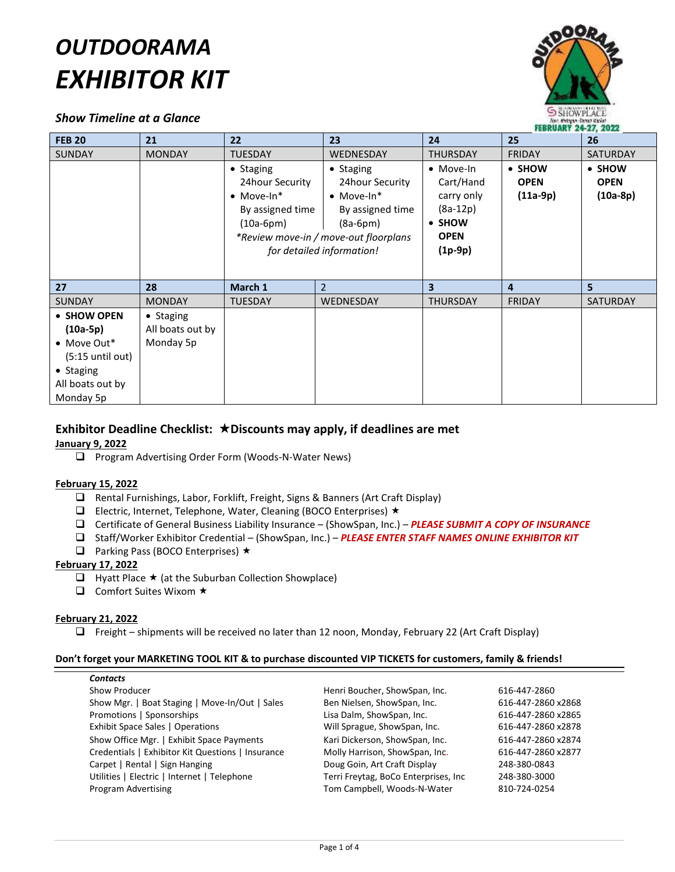# *OUTDOORAMA EXHIBITOR KIT*

# *Show Timeline at a Glance*



| <b>FEB 20</b>                                                                                                        | 21                                         | $22 \overline{ }$                                                                      | 23                                                                                                                                                          | 24                                                                                       | 25                                  | 26                                  |
|----------------------------------------------------------------------------------------------------------------------|--------------------------------------------|----------------------------------------------------------------------------------------|-------------------------------------------------------------------------------------------------------------------------------------------------------------|------------------------------------------------------------------------------------------|-------------------------------------|-------------------------------------|
| <b>SUNDAY</b>                                                                                                        | <b>MONDAY</b>                              | <b>TUESDAY</b>                                                                         | WEDNESDAY                                                                                                                                                   | <b>THURSDAY</b>                                                                          | <b>FRIDAY</b>                       | <b>SATURDAY</b>                     |
|                                                                                                                      |                                            | • Staging<br>24 hour Security<br>$\bullet$ Move-In*<br>By assigned time<br>$(10a-6pm)$ | • Staging<br>24 hour Security<br>$\bullet$ Move-In*<br>By assigned time<br>$(8a-6pm)$<br>*Review move-in / move-out floorplans<br>for detailed information! | • Move-In<br>Cart/Hand<br>carry only<br>$(8a-12p)$<br>• SHOW<br><b>OPEN</b><br>$(1p-9p)$ | • SHOW<br><b>OPEN</b><br>$(11a-9p)$ | • SHOW<br><b>OPEN</b><br>$(10a-8p)$ |
| 27                                                                                                                   | 28                                         | March 1                                                                                | $\overline{2}$                                                                                                                                              | $\overline{\mathbf{3}}$                                                                  | $\overline{4}$                      | 5                                   |
| <b>SUNDAY</b>                                                                                                        | <b>MONDAY</b>                              | <b>TUESDAY</b>                                                                         | <b>WEDNESDAY</b>                                                                                                                                            | <b>THURSDAY</b>                                                                          | <b>FRIDAY</b>                       | <b>SATURDAY</b>                     |
| • SHOW OPEN<br>$(10a-5p)$<br>$\bullet$ Move Out*<br>$(5:15$ until out)<br>• Staging<br>All boats out by<br>Monday 5p | • Staging<br>All boats out by<br>Monday 5p |                                                                                        |                                                                                                                                                             |                                                                                          |                                     |                                     |

# **Exhibitor Deadline Checklist: Discounts may apply, if deadlines are met**

# **January 9, 2022**

□ Program Advertising Order Form (Woods-N-Water News)

# **February 15, 2022**

- Rental Furnishings, Labor, Forklift, Freight, Signs & Banners (Art Craft Display)
- **Electric, Internet, Telephone, Water, Cleaning (BOCO Enterprises)**  $\star$
- Certificate of General Business Liability Insurance (ShowSpan, Inc.) *PLEASE SUBMIT A COPY OF INSURANCE*
- Staff/Worker Exhibitor Credential (ShowSpan, Inc.) *PLEASE ENTER STAFF NAMES ONLINE EXHIBITOR KIT*
- $\Box$  Parking Pass (BOCO Enterprises)  $\star$

# **February 17, 2022**

- $\Box$  Hyatt Place  $\star$  (at the Suburban Collection Showplace)
- $\Box$  Comfort Suites Wixom  $\star$

# **February 21, 2022**

 $\Box$  Freight – shipments will be received no later than 12 noon, Monday, February 22 (Art Craft Display)

# **Don't forget your MARKETING TOOL KIT & to purchase discounted VIP TICKETS for customers, family & friends!**

| Henri Boucher, ShowSpan, Inc.        | 616-447-2860       |
|--------------------------------------|--------------------|
| Ben Nielsen, ShowSpan, Inc.          | 616-447-2860 x2868 |
| Lisa Dalm, ShowSpan, Inc.            | 616-447-2860 x2865 |
| Will Sprague, ShowSpan, Inc.         | 616-447-2860 x2878 |
| Kari Dickerson, ShowSpan, Inc.       | 616-447-2860 x2874 |
| Molly Harrison, ShowSpan, Inc.       | 616-447-2860 x2877 |
| Doug Goin, Art Craft Display         | 248-380-0843       |
| Terri Freytag, BoCo Enterprises, Inc | 248-380-3000       |
| Tom Campbell, Woods-N-Water          | 810-724-0254       |
|                                      |                    |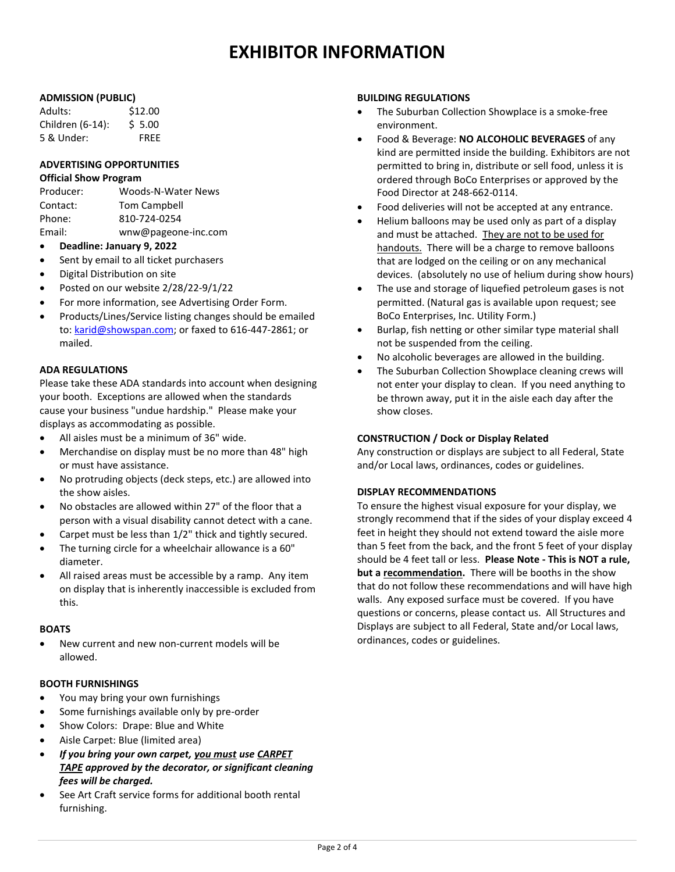# **EXHIBITOR INFORMATION**

# **ADMISSION (PUBLIC)**

| Adults:          | \$12.00     |
|------------------|-------------|
| Children (6-14): | \$5.00      |
| 5 & Under:       | <b>FREE</b> |

#### **ADVERTISING OPPORTUNITIES Official Show Program**

| Producer: | Woods-N-Water News  |
|-----------|---------------------|
| Contact:  | <b>Tom Campbell</b> |
| Phone:    | 810-724-0254        |
| Email:    | wnw@pageone-inc.com |

- **Deadline: January 9, 2022**
- Sent by email to all ticket purchasers
- Digital Distribution on site
- Posted on our website 2/28/22-9/1/22
- For more information, see Advertising Order Form.
- Products/Lines/Service listing changes should be emailed to[: karid@showspan.com;](mailto:karid@showspan.com) or faxed to 616-447-2861; or mailed.

# **ADA REGULATIONS**

Please take these ADA standards into account when designing your booth. Exceptions are allowed when the standards cause your business "undue hardship." Please make your displays as accommodating as possible.

- All aisles must be a minimum of 36" wide.
- Merchandise on display must be no more than 48" high or must have assistance.
- No protruding objects (deck steps, etc.) are allowed into the show aisles.
- No obstacles are allowed within 27" of the floor that a person with a visual disability cannot detect with a cane.
- Carpet must be less than 1/2" thick and tightly secured.
- The turning circle for a wheelchair allowance is a 60" diameter.
- All raised areas must be accessible by a ramp. Any item on display that is inherently inaccessible is excluded from this.

# **BOATS**

 New current and new non-current models will be allowed.

# **BOOTH FURNISHINGS**

- You may bring your own furnishings
- Some furnishings available only by pre-order
- Show Colors: Drape: Blue and White
- Aisle Carpet: Blue (limited area)
- *If you bring your own carpet, you must use CARPET TAPE approved by the decorator, or significant cleaning fees will be charged.*
- See Art Craft service forms for additional booth rental furnishing.

#### **BUILDING REGULATIONS**

- The Suburban Collection Showplace is a smoke-free environment.
- Food & Beverage: **NO ALCOHOLIC BEVERAGES** of any kind are permitted inside the building. Exhibitors are not permitted to bring in, distribute or sell food, unless it is ordered through BoCo Enterprises or approved by the Food Director at 248-662-0114.
- Food deliveries will not be accepted at any entrance.
- Helium balloons may be used only as part of a display and must be attached. They are not to be used for handouts. There will be a charge to remove balloons that are lodged on the ceiling or on any mechanical devices. (absolutely no use of helium during show hours)
- The use and storage of liquefied petroleum gases is not permitted. (Natural gas is available upon request; see BoCo Enterprises, Inc. Utility Form.)
- Burlap, fish netting or other similar type material shall not be suspended from the ceiling.
- No alcoholic beverages are allowed in the building.
- The Suburban Collection Showplace cleaning crews will not enter your display to clean. If you need anything to be thrown away, put it in the aisle each day after the show closes.

# **CONSTRUCTION / Dock or Display Related**

Any construction or displays are subject to all Federal, State and/or Local laws, ordinances, codes or guidelines.

# **DISPLAY RECOMMENDATIONS**

To ensure the highest visual exposure for your display, we strongly recommend that if the sides of your display exceed 4 feet in height they should not extend toward the aisle more than 5 feet from the back, and the front 5 feet of your display should be 4 feet tall or less. **Please Note - This is NOT a rule, but a recommendation.** There will be booths in the show that do not follow these recommendations and will have high walls. Any exposed surface must be covered. If you have questions or concerns, please contact us. All Structures and Displays are subject to all Federal, State and/or Local laws, ordinances, codes or guidelines.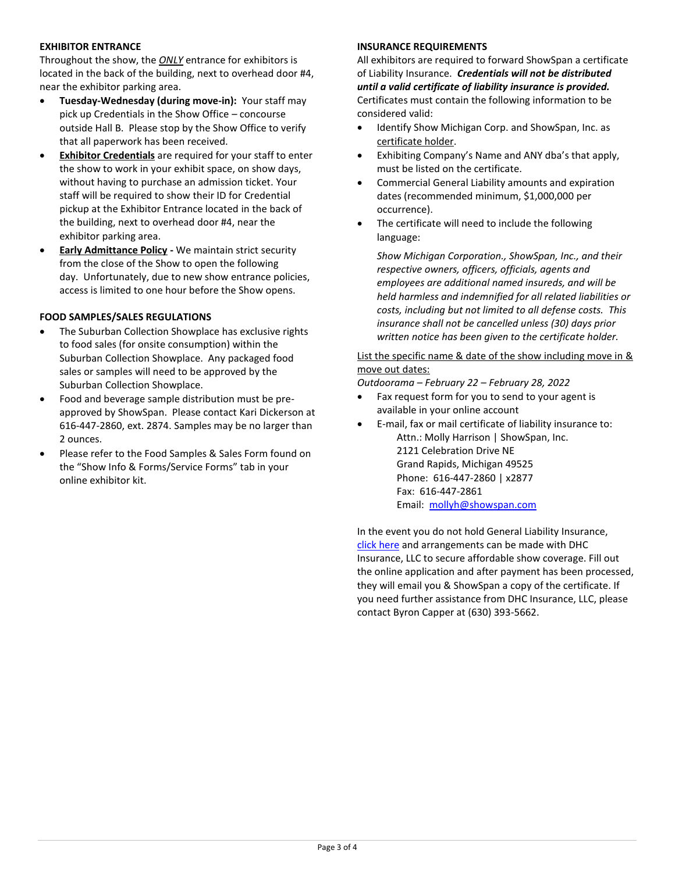# **EXHIBITOR ENTRANCE**

Throughout the show, the *ONLY* entrance for exhibitors is located in the back of the building, next to overhead door #4, near the exhibitor parking area.

- **Tuesday-Wednesday (during move-in):** Your staff may pick up Credentials in the Show Office – concourse outside Hall B. Please stop by the Show Office to verify that all paperwork has been received.
- **Exhibitor Credentials** are required for your staff to enter the show to work in your exhibit space, on show days, without having to purchase an admission ticket. Your staff will be required to show their ID for Credential pickup at the Exhibitor Entrance located in the back of the building, next to overhead door #4, near the exhibitor parking area.
- **Early Admittance Policy -** We maintain strict security from the close of the Show to open the following day. Unfortunately, due to new show entrance policies, access is limited to one hour before the Show opens.

# **FOOD SAMPLES/SALES REGULATIONS**

- The Suburban Collection Showplace has exclusive rights to food sales (for onsite consumption) within the Suburban Collection Showplace. Any packaged food sales or samples will need to be approved by the Suburban Collection Showplace.
- Food and beverage sample distribution must be preapproved by ShowSpan. Please contact Kari Dickerson at 616-447-2860, ext. 2874. Samples may be no larger than 2 ounces.
- Please refer to the Food Samples & Sales Form found on the "Show Info & Forms/Service Forms" tab in your online exhibitor kit.

# **INSURANCE REQUIREMENTS**

All exhibitors are required to forward ShowSpan a certificate of Liability Insurance. *Credentials will not be distributed until a valid certificate of liability insurance is provided.* Certificates must contain the following information to be considered valid:

- Identify Show Michigan Corp. and ShowSpan, Inc. as certificate holder.
- Exhibiting Company's Name and ANY dba's that apply, must be listed on the certificate.
- Commercial General Liability amounts and expiration dates (recommended minimum, \$1,000,000 per occurrence).
- The certificate will need to include the following language:

*Show Michigan Corporation., ShowSpan, Inc., and their respective owners, officers, officials, agents and employees are additional named insureds, and will be held harmless and indemnified for all related liabilities or costs, including but not limited to all defense costs. This insurance shall not be cancelled unless (30) days prior written notice has been given to the certificate holder.*

# List the specific name & date of the show including move in & move out dates:

*Outdoorama – February 22 – February 28, 2022*

- Fax request form for you to send to your agent is available in your online account
- E-mail, fax or mail certificate of liability insurance to: Attn.: Molly Harrison | ShowSpan, Inc. 2121 Celebration Drive NE Grand Rapids, Michigan 49525 Phone: 616-447-2860 | x2877 Fax: 616-447-2861 Email: [mollyh@showspan.com](mailto:MollyH@showspan.com)

In the event you do not hold General Liability Insurance, [click here](https://linkprotect.cudasvc.com/url?a=https://securevendorinsurance.com/ShowSpan&c=E,1,fWzK7KnWfWYu_6Ibwg-VxSIeA0rW0Clei9BYd7hTk3ueX_ux2Y4EKYT-KVS7qck60-E2NfP7wptfSxXRyt_6VVgz3FCvpdVHRMZbtw,,&typo=1) and arrangements can be made with DHC Insurance, LLC to secure affordable show coverage. Fill out the online application and after payment has been processed, they will email you & ShowSpan a copy of the certificate. If you need further assistance from DHC Insurance, LLC, please contact Byron Capper at (630) 393-5662.